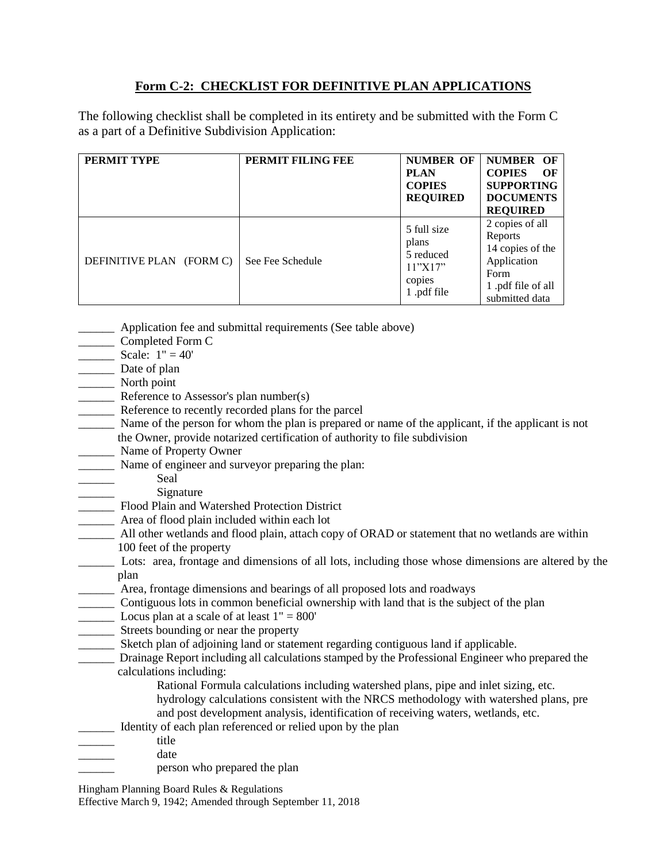## **Form C-2: CHECKLIST FOR DEFINITIVE PLAN APPLICATIONS**

The following checklist shall be completed in its entirety and be submitted with the Form C as a part of a Definitive Subdivision Application:

| <b>PERMIT TYPE</b>       | PERMIT FILING FEE | <b>NUMBER OF</b><br><b>PLAN</b><br><b>COPIES</b><br><b>REQUIRED</b>  | <b>NUMBER OF</b><br><b>COPIES</b><br>$\Omega$<br><b>SUPPORTING</b><br><b>DOCUMENTS</b><br><b>REQUIRED</b>    |
|--------------------------|-------------------|----------------------------------------------------------------------|--------------------------------------------------------------------------------------------------------------|
| DEFINITIVE PLAN (FORM C) | See Fee Schedule  | 5 full size<br>plans<br>5 reduced<br>11"X17"<br>copies<br>1.pdf file | 2 copies of all<br>Reports<br>14 copies of the<br>Application<br>Form<br>1.pdf file of all<br>submitted data |

- **EXECUTE:** Application fee and submittal requirements (See table above)
- \_\_\_\_\_\_ Completed Form C
- $\frac{\text{Scale: } 1''}{\text{Scale: } 1}$
- \_\_\_\_\_\_ Date of plan
- \_\_\_\_\_\_ North point
- \_\_\_\_\_\_ Reference to Assessor's plan number(s)
- Reference to recently recorded plans for the parcel
- Name of the person for whom the plan is prepared or name of the applicant, if the applicant is not the Owner, provide notarized certification of authority to file subdivision
- \_\_\_\_\_\_ Name of Property Owner
- \_\_\_\_\_\_ Name of engineer and surveyor preparing the plan:
	- Seal
		- \_\_\_\_\_\_ Signature
- \_\_\_\_\_\_ Flood Plain and Watershed Protection District
- \_\_\_\_\_\_ Area of flood plain included within each lot
- \_\_\_\_\_\_ All other wetlands and flood plain, attach copy of ORAD or statement that no wetlands are within 100 feet of the property
- \_\_\_\_\_\_ Lots: area, frontage and dimensions of all lots, including those whose dimensions are altered by the plan
- \_\_\_\_\_\_ Area, frontage dimensions and bearings of all proposed lots and roadways
- \_\_\_\_\_\_ Contiguous lots in common beneficial ownership with land that is the subject of the plan
- $\frac{1}{2}$  Locus plan at a scale of at least  $1'' = 800'$
- \_\_\_\_\_\_ Streets bounding or near the property
- \_\_\_\_\_\_ Sketch plan of adjoining land or statement regarding contiguous land if applicable.
- \_\_\_\_\_\_ Drainage Report including all calculations stamped by the Professional Engineer who prepared the calculations including:
	- Rational Formula calculations including watershed plans, pipe and inlet sizing, etc.
	- hydrology calculations consistent with the NRCS methodology with watershed plans, pre and post development analysis, identification of receiving waters, wetlands, etc.
- Identity of each plan referenced or relied upon by the plan
- \_\_\_\_\_\_ title
- date
	- \_\_\_\_\_\_ person who prepared the plan
- Hingham Planning Board Rules & Regulations

Effective March 9, 1942; Amended through September 11, 2018